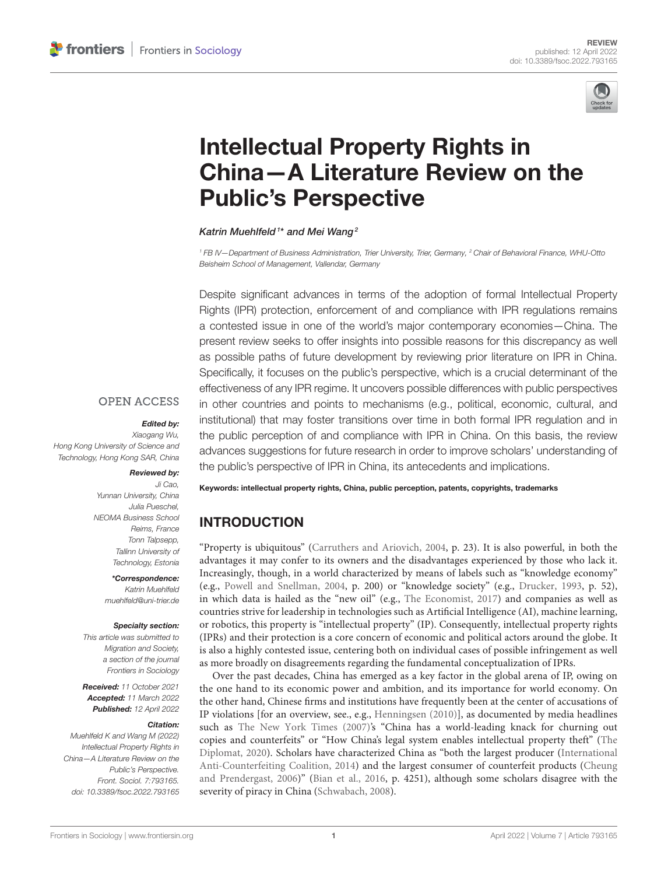

# Intellectual Property Rights in [China—A Literature Review on the](https://www.frontiersin.org/articles/10.3389/fsoc.2022.793165/full) Public's Perspective

#### Katrin Muehlfeld<sup>1\*</sup> and Mei Wang<sup>2</sup>

*<sup>1</sup> FB IV—Department of Business Administration, Trier University, Trier, Germany, <sup>2</sup> Chair of Behavioral Finance, WHU-Otto Beisheim School of Management, Vallendar, Germany*

Despite significant advances in terms of the adoption of formal Intellectual Property Rights (IPR) protection, enforcement of and compliance with IPR regulations remains a contested issue in one of the world's major contemporary economies—China. The present review seeks to offer insights into possible reasons for this discrepancy as well as possible paths of future development by reviewing prior literature on IPR in China. Specifically, it focuses on the public's perspective, which is a crucial determinant of the effectiveness of any IPR regime. It uncovers possible differences with public perspectives in other countries and points to mechanisms (e.g., political, economic, cultural, and institutional) that may foster transitions over time in both formal IPR regulation and in the public perception of and compliance with IPR in China. On this basis, the review advances suggestions for future research in order to improve scholars' understanding of the public's perspective of IPR in China, its antecedents and implications.

### **OPEN ACCESS**

#### Edited by:

*Xiaogang Wu, Hong Kong University of Science and Technology, Hong Kong SAR, China*

#### Reviewed by:

*Ji Cao, Yunnan University, China Julia Pueschel, NEOMA Business School Reims, France Tonn Talpsepp, Tallinn University of Technology, Estonia*

> \*Correspondence: *Katrin Muehlfeld*

*[muehlfeld@uni-trier.de](mailto:muehlfeld@uni-trier.de)*

#### Specialty section:

*This article was submitted to Migration and Society, a section of the journal Frontiers in Sociology*

Received: *11 October 2021* Accepted: *11 March 2022* Published: *12 April 2022*

#### Citation:

*Muehlfeld K and Wang M (2022) Intellectual Property Rights in China—A Literature Review on the Public's Perspective. Front. Sociol. 7:793165. doi: [10.3389/fsoc.2022.793165](https://doi.org/10.3389/fsoc.2022.793165)* Keywords: intellectual property rights, China, public perception, patents, copyrights, trademarks

# INTRODUCTION

"Property is ubiquitous" [\(Carruthers and Ariovich, 2004,](#page-9-0) p. 23). It is also powerful, in both the advantages it may confer to its owners and the disadvantages experienced by those who lack it. Increasingly, though, in a world characterized by means of labels such as "knowledge economy" (e.g., [Powell and Snellman, 2004,](#page-10-0) p. 200) or "knowledge society" (e.g., [Drucker, 1993,](#page-9-1) p. 52), in which data is hailed as the "new oil" (e.g., [The Economist, 2017\)](#page-10-1) and companies as well as countries strive for leadership in technologies such as Artificial Intelligence (AI), machine learning, or robotics, this property is "intellectual property" (IP). Consequently, intellectual property rights (IPRs) and their protection is a core concern of economic and political actors around the globe. It is also a highly contested issue, centering both on individual cases of possible infringement as well as more broadly on disagreements regarding the fundamental conceptualization of IPRs.

Over the past decades, China has emerged as a key factor in the global arena of IP, owing on the one hand to its economic power and ambition, and its importance for world economy. On the other hand, Chinese firms and institutions have frequently been at the center of accusations of IP violations [for an overview, see., e.g., [Henningsen \(2010\)](#page-9-2)], as documented by media headlines such as [The New York Times \(2007\)](#page-10-2)'s "China has a world-leading knack for churning out copies and counterfeits" or "How China's legal system enables intellectual property theft" (The Diplomat, [2020\)](#page-10-3). Scholars have characterized China as "both the largest producer (International Anti-Counterfeiting Coalition, [2014\)](#page-9-3) and the largest consumer of counterfeit products (Cheung and Prendergast, [2006\)](#page-9-4)" [\(Bian et al., 2016,](#page-9-5) p. 4251), although some scholars disagree with the severity of piracy in China [\(Schwabach, 2008\)](#page-10-4).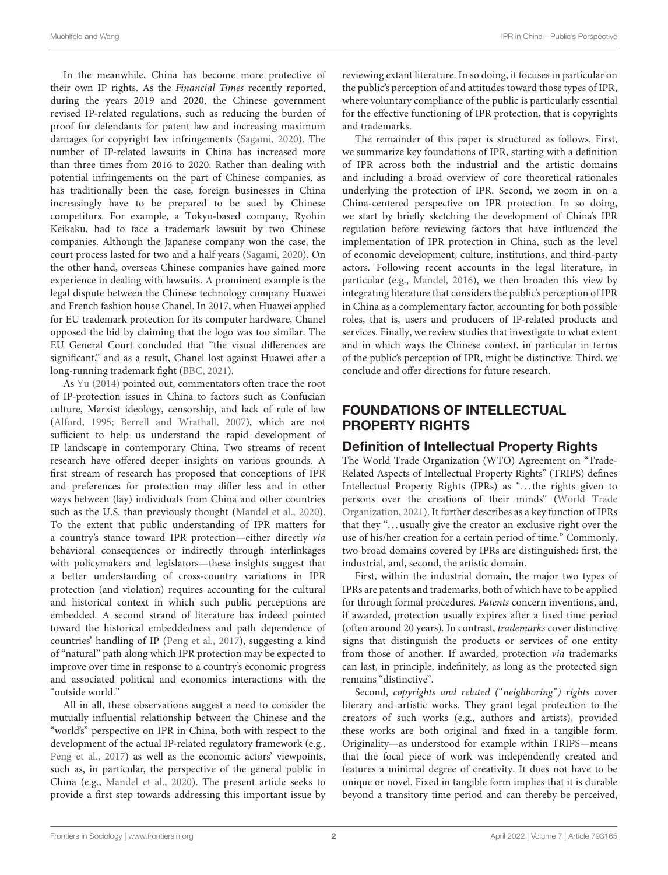In the meanwhile, China has become more protective of their own IP rights. As the Financial Times recently reported, during the years 2019 and 2020, the Chinese government revised IP-related regulations, such as reducing the burden of proof for defendants for patent law and increasing maximum damages for copyright law infringements [\(Sagami, 2020\)](#page-10-5). The number of IP-related lawsuits in China has increased more than three times from 2016 to 2020. Rather than dealing with potential infringements on the part of Chinese companies, as has traditionally been the case, foreign businesses in China increasingly have to be prepared to be sued by Chinese competitors. For example, a Tokyo-based company, Ryohin Keikaku, had to face a trademark lawsuit by two Chinese companies. Although the Japanese company won the case, the court process lasted for two and a half years [\(Sagami, 2020\)](#page-10-5). On the other hand, overseas Chinese companies have gained more experience in dealing with lawsuits. A prominent example is the legal dispute between the Chinese technology company Huawei and French fashion house Chanel. In 2017, when Huawei applied for EU trademark protection for its computer hardware, Chanel opposed the bid by claiming that the logo was too similar. The EU General Court concluded that "the visual differences are significant," and as a result, Chanel lost against Huawei after a long-running trademark fight [\(BBC, 2021\)](#page-9-6).

As [Yu \(2014\)](#page-10-6) pointed out, commentators often trace the root of IP-protection issues in China to factors such as Confucian culture, Marxist ideology, censorship, and lack of rule of law [\(Alford, 1995;](#page-9-7) [Berrell and Wrathall, 2007\)](#page-9-8), which are not sufficient to help us understand the rapid development of IP landscape in contemporary China. Two streams of recent research have offered deeper insights on various grounds. A first stream of research has proposed that conceptions of IPR and preferences for protection may differ less and in other ways between (lay) individuals from China and other countries such as the U.S. than previously thought [\(Mandel et al., 2020\)](#page-9-9). To the extent that public understanding of IPR matters for a country's stance toward IPR protection—either directly via behavioral consequences or indirectly through interlinkages with policymakers and legislators—these insights suggest that a better understanding of cross-country variations in IPR protection (and violation) requires accounting for the cultural and historical context in which such public perceptions are embedded. A second strand of literature has indeed pointed toward the historical embeddedness and path dependence of countries' handling of IP [\(Peng et al., 2017\)](#page-10-7), suggesting a kind of "natural" path along which IPR protection may be expected to improve over time in response to a country's economic progress and associated political and economics interactions with the "outside world."

All in all, these observations suggest a need to consider the mutually influential relationship between the Chinese and the "world's" perspective on IPR in China, both with respect to the development of the actual IP-related regulatory framework (e.g., [Peng et al., 2017\)](#page-10-7) as well as the economic actors' viewpoints, such as, in particular, the perspective of the general public in China (e.g., [Mandel et al., 2020\)](#page-9-9). The present article seeks to provide a first step towards addressing this important issue by reviewing extant literature. In so doing, it focuses in particular on the public's perception of and attitudes toward those types of IPR, where voluntary compliance of the public is particularly essential for the effective functioning of IPR protection, that is copyrights and trademarks.

The remainder of this paper is structured as follows. First, we summarize key foundations of IPR, starting with a definition of IPR across both the industrial and the artistic domains and including a broad overview of core theoretical rationales underlying the protection of IPR. Second, we zoom in on a China-centered perspective on IPR protection. In so doing, we start by briefly sketching the development of China's IPR regulation before reviewing factors that have influenced the implementation of IPR protection in China, such as the level of economic development, culture, institutions, and third-party actors. Following recent accounts in the legal literature, in particular (e.g., [Mandel, 2016\)](#page-9-10), we then broaden this view by integrating literature that considers the public's perception of IPR in China as a complementary factor, accounting for both possible roles, that is, users and producers of IP-related products and services. Finally, we review studies that investigate to what extent and in which ways the Chinese context, in particular in terms of the public's perception of IPR, might be distinctive. Third, we conclude and offer directions for future research.

# FOUNDATIONS OF INTELLECTUAL PROPERTY RIGHTS

## Definition of Intellectual Property Rights

The World Trade Organization (WTO) Agreement on "Trade-Related Aspects of Intellectual Property Rights" (TRIPS) defines Intellectual Property Rights (IPRs) as "... the rights given to persons over the creations of their minds" (World Trade Organization, [2021\)](#page-10-8). It further describes as a key function of IPRs that they ". . . usually give the creator an exclusive right over the use of his/her creation for a certain period of time." Commonly, two broad domains covered by IPRs are distinguished: first, the industrial, and, second, the artistic domain.

First, within the industrial domain, the major two types of IPRs are patents and trademarks, both of which have to be applied for through formal procedures. Patents concern inventions, and, if awarded, protection usually expires after a fixed time period (often around 20 years). In contrast, trademarks cover distinctive signs that distinguish the products or services of one entity from those of another. If awarded, protection via trademarks can last, in principle, indefinitely, as long as the protected sign remains "distinctive".

Second, copyrights and related ("neighboring") rights cover literary and artistic works. They grant legal protection to the creators of such works (e.g., authors and artists), provided these works are both original and fixed in a tangible form. Originality—as understood for example within TRIPS—means that the focal piece of work was independently created and features a minimal degree of creativity. It does not have to be unique or novel. Fixed in tangible form implies that it is durable beyond a transitory time period and can thereby be perceived,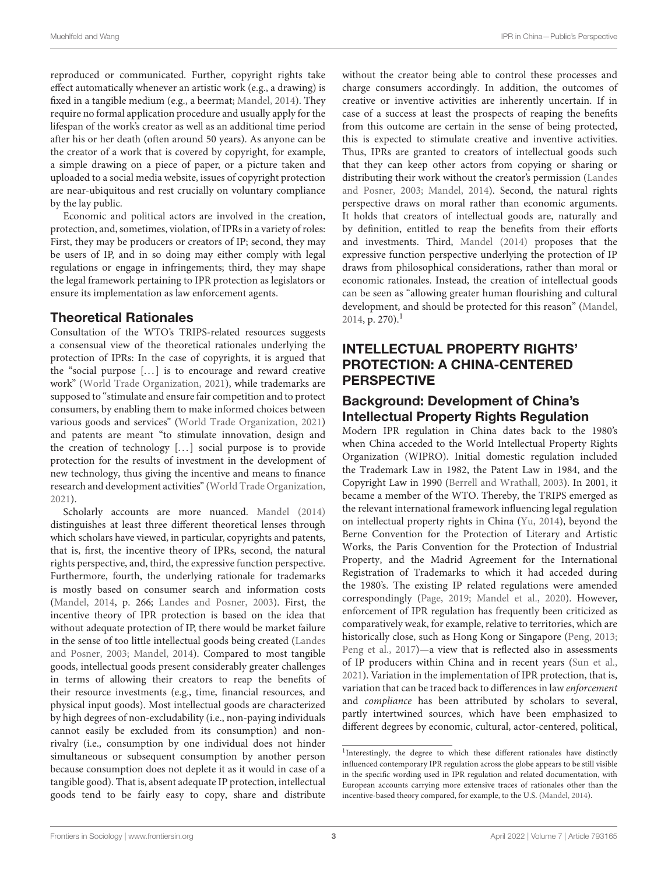reproduced or communicated. Further, copyright rights take effect automatically whenever an artistic work (e.g., a drawing) is fixed in a tangible medium (e.g., a beermat; [Mandel, 2014\)](#page-9-11). They require no formal application procedure and usually apply for the lifespan of the work's creator as well as an additional time period after his or her death (often around 50 years). As anyone can be the creator of a work that is covered by copyright, for example, a simple drawing on a piece of paper, or a picture taken and uploaded to a social media website, issues of copyright protection are near-ubiquitous and rest crucially on voluntary compliance by the lay public.

Economic and political actors are involved in the creation, protection, and, sometimes, violation, of IPRs in a variety of roles: First, they may be producers or creators of IP; second, they may be users of IP, and in so doing may either comply with legal regulations or engage in infringements; third, they may shape the legal framework pertaining to IPR protection as legislators or ensure its implementation as law enforcement agents.

## Theoretical Rationales

Consultation of the WTO's TRIPS-related resources suggests a consensual view of the theoretical rationales underlying the protection of IPRs: In the case of copyrights, it is argued that the "social purpose [...] is to encourage and reward creative work" [\(World Trade Organization, 2021\)](#page-10-8), while trademarks are supposed to "stimulate and ensure fair competition and to protect consumers, by enabling them to make informed choices between various goods and services" [\(World Trade Organization, 2021\)](#page-10-8) and patents are meant "to stimulate innovation, design and the creation of technology [...] social purpose is to provide protection for the results of investment in the development of new technology, thus giving the incentive and means to finance research and development activities" [\(World Trade Organization,](#page-10-8) [2021\)](#page-10-8).

Scholarly accounts are more nuanced. [Mandel \(2014\)](#page-9-11) distinguishes at least three different theoretical lenses through which scholars have viewed, in particular, copyrights and patents, that is, first, the incentive theory of IPRs, second, the natural rights perspective, and, third, the expressive function perspective. Furthermore, fourth, the underlying rationale for trademarks is mostly based on consumer search and information costs [\(Mandel, 2014,](#page-9-11) p. 266; [Landes and Posner, 2003\)](#page-9-12). First, the incentive theory of IPR protection is based on the idea that without adequate protection of IP, there would be market failure in the sense of too little intellectual goods being created (Landes and Posner, [2003;](#page-9-12) [Mandel, 2014\)](#page-9-11). Compared to most tangible goods, intellectual goods present considerably greater challenges in terms of allowing their creators to reap the benefits of their resource investments (e.g., time, financial resources, and physical input goods). Most intellectual goods are characterized by high degrees of non-excludability (i.e., non-paying individuals cannot easily be excluded from its consumption) and nonrivalry (i.e., consumption by one individual does not hinder simultaneous or subsequent consumption by another person because consumption does not deplete it as it would in case of a tangible good). That is, absent adequate IP protection, intellectual goods tend to be fairly easy to copy, share and distribute

without the creator being able to control these processes and charge consumers accordingly. In addition, the outcomes of creative or inventive activities are inherently uncertain. If in case of a success at least the prospects of reaping the benefits from this outcome are certain in the sense of being protected, this is expected to stimulate creative and inventive activities. Thus, IPRs are granted to creators of intellectual goods such that they can keep other actors from copying or sharing or distributing their work without the creator's permission (Landes and Posner, [2003;](#page-9-12) [Mandel, 2014\)](#page-9-11). Second, the natural rights perspective draws on moral rather than economic arguments. It holds that creators of intellectual goods are, naturally and by definition, entitled to reap the benefits from their efforts and investments. Third, [Mandel \(2014\)](#page-9-11) proposes that the expressive function perspective underlying the protection of IP draws from philosophical considerations, rather than moral or economic rationales. Instead, the creation of intellectual goods can be seen as "allowing greater human flourishing and cultural development, and should be protected for this reason" [\(Mandel,](#page-9-11)  $2014$  $2014$  $2014$ , p. 270).<sup>1</sup>

# INTELLECTUAL PROPERTY RIGHTS' PROTECTION: A CHINA-CENTERED **PERSPECTIVE**

## Background: Development of China's Intellectual Property Rights Regulation

Modern IPR regulation in China dates back to the 1980's when China acceded to the World Intellectual Property Rights Organization (WIPRO). Initial domestic regulation included the Trademark Law in 1982, the Patent Law in 1984, and the Copyright Law in 1990 [\(Berrell and Wrathall, 2003\)](#page-9-13). In 2001, it became a member of the WTO. Thereby, the TRIPS emerged as the relevant international framework influencing legal regulation on intellectual property rights in China [\(Yu, 2014\)](#page-10-6), beyond the Berne Convention for the Protection of Literary and Artistic Works, the Paris Convention for the Protection of Industrial Property, and the Madrid Agreement for the International Registration of Trademarks to which it had acceded during the 1980's. The existing IP related regulations were amended correspondingly [\(Page, 2019;](#page-10-9) [Mandel et al., 2020\)](#page-9-9). However, enforcement of IPR regulation has frequently been criticized as comparatively weak, for example, relative to territories, which are historically close, such as Hong Kong or Singapore [\(Peng, 2013;](#page-10-10) [Peng et al., 2017\)](#page-10-7)—a view that is reflected also in assessments of IP producers within China and in recent years [\(Sun et al.,](#page-10-11) [2021\)](#page-10-11). Variation in the implementation of IPR protection, that is, variation that can be traced back to differences in law enforcement and compliance has been attributed by scholars to several, partly intertwined sources, which have been emphasized to different degrees by economic, cultural, actor-centered, political,

<span id="page-2-0"></span><sup>&</sup>lt;sup>1</sup>Interestingly, the degree to which these different rationales have distinctly influenced contemporary IPR regulation across the globe appears to be still visible in the specific wording used in IPR regulation and related documentation, with European accounts carrying more extensive traces of rationales other than the incentive-based theory compared, for example, to the U.S. [\(Mandel, 2014\)](#page-9-11).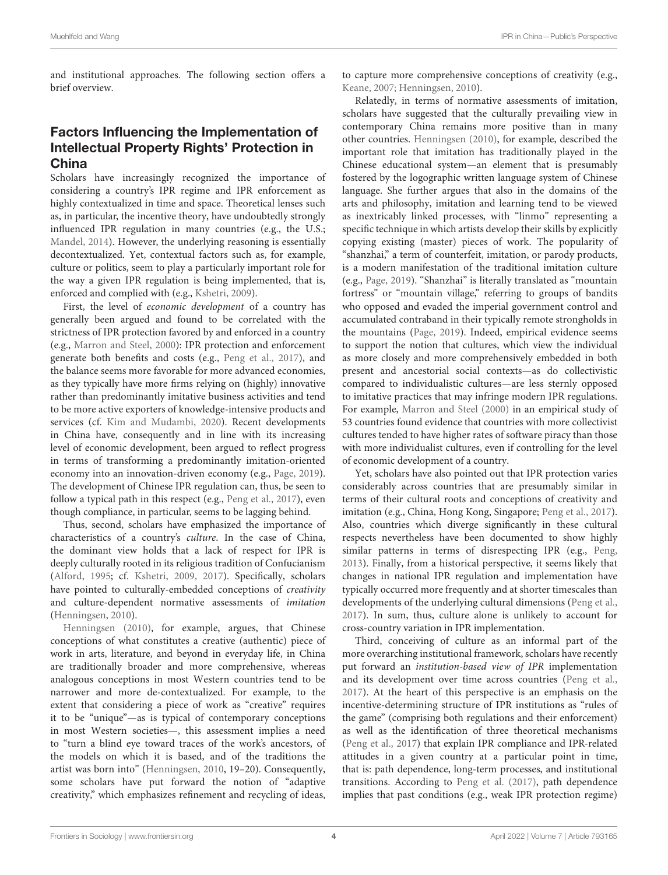and institutional approaches. The following section offers a brief overview.

# Factors Influencing the Implementation of Intellectual Property Rights' Protection in China

Scholars have increasingly recognized the importance of considering a country's IPR regime and IPR enforcement as highly contextualized in time and space. Theoretical lenses such as, in particular, the incentive theory, have undoubtedly strongly influenced IPR regulation in many countries (e.g., the U.S.; [Mandel, 2014\)](#page-9-11). However, the underlying reasoning is essentially decontextualized. Yet, contextual factors such as, for example, culture or politics, seem to play a particularly important role for the way a given IPR regulation is being implemented, that is, enforced and complied with (e.g., [Kshetri, 2009\)](#page-9-14).

First, the level of economic development of a country has generally been argued and found to be correlated with the strictness of IPR protection favored by and enforced in a country (e.g., [Marron and Steel, 2000\)](#page-10-12): IPR protection and enforcement generate both benefits and costs (e.g., [Peng et al., 2017\)](#page-10-7), and the balance seems more favorable for more advanced economies, as they typically have more firms relying on (highly) innovative rather than predominantly imitative business activities and tend to be more active exporters of knowledge-intensive products and services (cf. [Kim and Mudambi, 2020\)](#page-9-15). Recent developments in China have, consequently and in line with its increasing level of economic development, been argued to reflect progress in terms of transforming a predominantly imitation-oriented economy into an innovation-driven economy (e.g., [Page, 2019\)](#page-10-9). The development of Chinese IPR regulation can, thus, be seen to follow a typical path in this respect (e.g., [Peng et al., 2017\)](#page-10-7), even though compliance, in particular, seems to be lagging behind.

Thus, second, scholars have emphasized the importance of characteristics of a country's culture. In the case of China, the dominant view holds that a lack of respect for IPR is deeply culturally rooted in its religious tradition of Confucianism [\(Alford, 1995;](#page-9-7) cf. [Kshetri, 2009,](#page-9-14) [2017\)](#page-9-16). Specifically, scholars have pointed to culturally-embedded conceptions of creativity and culture-dependent normative assessments of imitation [\(Henningsen, 2010\)](#page-9-2).

[Henningsen \(2010\)](#page-9-2), for example, argues, that Chinese conceptions of what constitutes a creative (authentic) piece of work in arts, literature, and beyond in everyday life, in China are traditionally broader and more comprehensive, whereas analogous conceptions in most Western countries tend to be narrower and more de-contextualized. For example, to the extent that considering a piece of work as "creative" requires it to be "unique"—as is typical of contemporary conceptions in most Western societies—, this assessment implies a need to "turn a blind eye toward traces of the work's ancestors, of the models on which it is based, and of the traditions the artist was born into" [\(Henningsen, 2010,](#page-9-2) 19–20). Consequently, some scholars have put forward the notion of "adaptive creativity," which emphasizes refinement and recycling of ideas, to capture more comprehensive conceptions of creativity (e.g., [Keane, 2007;](#page-9-17) [Henningsen, 2010\)](#page-9-2).

Relatedly, in terms of normative assessments of imitation, scholars have suggested that the culturally prevailing view in contemporary China remains more positive than in many other countries. [Henningsen \(2010\)](#page-9-2), for example, described the important role that imitation has traditionally played in the Chinese educational system—an element that is presumably fostered by the logographic written language system of Chinese language. She further argues that also in the domains of the arts and philosophy, imitation and learning tend to be viewed as inextricably linked processes, with "linmo" representing a specific technique in which artists develop their skills by explicitly copying existing (master) pieces of work. The popularity of "shanzhai," a term of counterfeit, imitation, or parody products, is a modern manifestation of the traditional imitation culture (e.g., [Page, 2019\)](#page-10-9). "Shanzhai" is literally translated as "mountain fortress" or "mountain village," referring to groups of bandits who opposed and evaded the imperial government control and accumulated contraband in their typically remote strongholds in the mountains [\(Page, 2019\)](#page-10-9). Indeed, empirical evidence seems to support the notion that cultures, which view the individual as more closely and more comprehensively embedded in both present and ancestorial social contexts—as do collectivistic compared to individualistic cultures—are less sternly opposed to imitative practices that may infringe modern IPR regulations. For example, [Marron and Steel \(2000\)](#page-10-12) in an empirical study of 53 countries found evidence that countries with more collectivist cultures tended to have higher rates of software piracy than those with more individualist cultures, even if controlling for the level of economic development of a country.

Yet, scholars have also pointed out that IPR protection varies considerably across countries that are presumably similar in terms of their cultural roots and conceptions of creativity and imitation (e.g., China, Hong Kong, Singapore; [Peng et al., 2017\)](#page-10-7). Also, countries which diverge significantly in these cultural respects nevertheless have been documented to show highly similar patterns in terms of disrespecting IPR (e.g., [Peng,](#page-10-10) [2013\)](#page-10-10). Finally, from a historical perspective, it seems likely that changes in national IPR regulation and implementation have typically occurred more frequently and at shorter timescales than developments of the underlying cultural dimensions [\(Peng et al.,](#page-10-7) [2017\)](#page-10-7). In sum, thus, culture alone is unlikely to account for cross-country variation in IPR implementation.

Third, conceiving of culture as an informal part of the more overarching institutional framework, scholars have recently put forward an institution-based view of IPR implementation and its development over time across countries [\(Peng et al.,](#page-10-7) [2017\)](#page-10-7). At the heart of this perspective is an emphasis on the incentive-determining structure of IPR institutions as "rules of the game" (comprising both regulations and their enforcement) as well as the identification of three theoretical mechanisms [\(Peng et al., 2017\)](#page-10-7) that explain IPR compliance and IPR-related attitudes in a given country at a particular point in time, that is: path dependence, long-term processes, and institutional transitions. According to [Peng et al. \(2017\)](#page-10-7), path dependence implies that past conditions (e.g., weak IPR protection regime)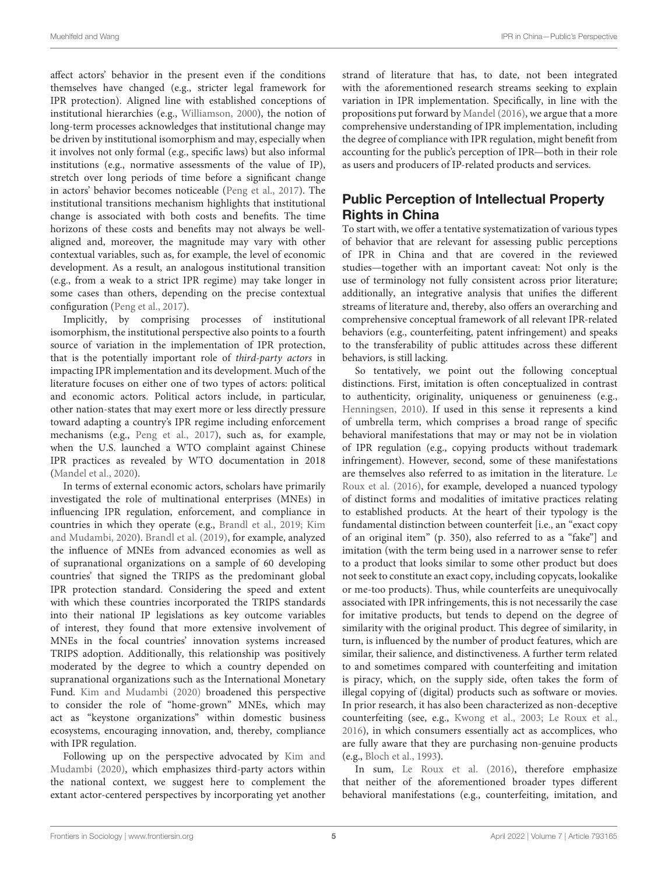affect actors' behavior in the present even if the conditions themselves have changed (e.g., stricter legal framework for IPR protection). Aligned line with established conceptions of institutional hierarchies (e.g., [Williamson, 2000\)](#page-10-13), the notion of long-term processes acknowledges that institutional change may be driven by institutional isomorphism and may, especially when it involves not only formal (e.g., specific laws) but also informal institutions (e.g., normative assessments of the value of IP), stretch over long periods of time before a significant change in actors' behavior becomes noticeable [\(Peng et al., 2017\)](#page-10-7). The institutional transitions mechanism highlights that institutional change is associated with both costs and benefits. The time horizons of these costs and benefits may not always be wellaligned and, moreover, the magnitude may vary with other contextual variables, such as, for example, the level of economic development. As a result, an analogous institutional transition (e.g., from a weak to a strict IPR regime) may take longer in some cases than others, depending on the precise contextual configuration [\(Peng et al., 2017\)](#page-10-7).

Implicitly, by comprising processes of institutional isomorphism, the institutional perspective also points to a fourth source of variation in the implementation of IPR protection, that is the potentially important role of third-party actors in impacting IPR implementation and its development. Much of the literature focuses on either one of two types of actors: political and economic actors. Political actors include, in particular, other nation-states that may exert more or less directly pressure toward adapting a country's IPR regime including enforcement mechanisms (e.g., [Peng et al., 2017\)](#page-10-7), such as, for example, when the U.S. launched a WTO complaint against Chinese IPR practices as revealed by WTO documentation in 2018 [\(Mandel et al., 2020\)](#page-9-9).

In terms of external economic actors, scholars have primarily investigated the role of multinational enterprises (MNEs) in influencing IPR regulation, enforcement, and compliance in countries in which they operate (e.g., [Brandl et al., 2019;](#page-9-18) Kim and Mudambi, [2020\)](#page-9-15). [Brandl et al. \(2019\)](#page-9-18), for example, analyzed the influence of MNEs from advanced economies as well as of supranational organizations on a sample of 60 developing countries' that signed the TRIPS as the predominant global IPR protection standard. Considering the speed and extent with which these countries incorporated the TRIPS standards into their national IP legislations as key outcome variables of interest, they found that more extensive involvement of MNEs in the focal countries' innovation systems increased TRIPS adoption. Additionally, this relationship was positively moderated by the degree to which a country depended on supranational organizations such as the International Monetary Fund. [Kim and Mudambi \(2020\)](#page-9-15) broadened this perspective to consider the role of "home-grown" MNEs, which may act as "keystone organizations" within domestic business ecosystems, encouraging innovation, and, thereby, compliance with IPR regulation.

Following up on the perspective advocated by Kim and Mudambi [\(2020\)](#page-9-15), which emphasizes third-party actors within the national context, we suggest here to complement the extant actor-centered perspectives by incorporating yet another strand of literature that has, to date, not been integrated with the aforementioned research streams seeking to explain variation in IPR implementation. Specifically, in line with the propositions put forward by [Mandel \(2016\)](#page-9-10), we argue that a more comprehensive understanding of IPR implementation, including the degree of compliance with IPR regulation, might benefit from accounting for the public's perception of IPR—both in their role as users and producers of IP-related products and services.

# Public Perception of Intellectual Property Rights in China

To start with, we offer a tentative systematization of various types of behavior that are relevant for assessing public perceptions of IPR in China and that are covered in the reviewed studies—together with an important caveat: Not only is the use of terminology not fully consistent across prior literature; additionally, an integrative analysis that unifies the different streams of literature and, thereby, also offers an overarching and comprehensive conceptual framework of all relevant IPR-related behaviors (e.g., counterfeiting, patent infringement) and speaks to the transferability of public attitudes across these different behaviors, is still lacking.

So tentatively, we point out the following conceptual distinctions. First, imitation is often conceptualized in contrast to authenticity, originality, uniqueness or genuineness (e.g., [Henningsen, 2010\)](#page-9-2). If used in this sense it represents a kind of umbrella term, which comprises a broad range of specific behavioral manifestations that may or may not be in violation of IPR regulation (e.g., copying products without trademark infringement). However, second, some of these manifestations are themselves also referred to as imitation in the literature. Le Roux et al. [\(2016\)](#page-9-19), for example, developed a nuanced typology of distinct forms and modalities of imitative practices relating to established products. At the heart of their typology is the fundamental distinction between counterfeit [i.e., an "exact copy of an original item" (p. 350), also referred to as a "fake"] and imitation (with the term being used in a narrower sense to refer to a product that looks similar to some other product but does not seek to constitute an exact copy, including copycats, lookalike or me-too products). Thus, while counterfeits are unequivocally associated with IPR infringements, this is not necessarily the case for imitative products, but tends to depend on the degree of similarity with the original product. This degree of similarity, in turn, is influenced by the number of product features, which are similar, their salience, and distinctiveness. A further term related to and sometimes compared with counterfeiting and imitation is piracy, which, on the supply side, often takes the form of illegal copying of (digital) products such as software or movies. In prior research, it has also been characterized as non-deceptive counterfeiting (see, e.g., [Kwong et al., 2003;](#page-9-20) [Le Roux et al.,](#page-9-19) [2016\)](#page-9-19), in which consumers essentially act as accomplices, who are fully aware that they are purchasing non-genuine products (e.g., [Bloch et al., 1993\)](#page-9-21).

In sum, [Le Roux et al. \(2016\)](#page-9-19), therefore emphasize that neither of the aforementioned broader types different behavioral manifestations (e.g., counterfeiting, imitation, and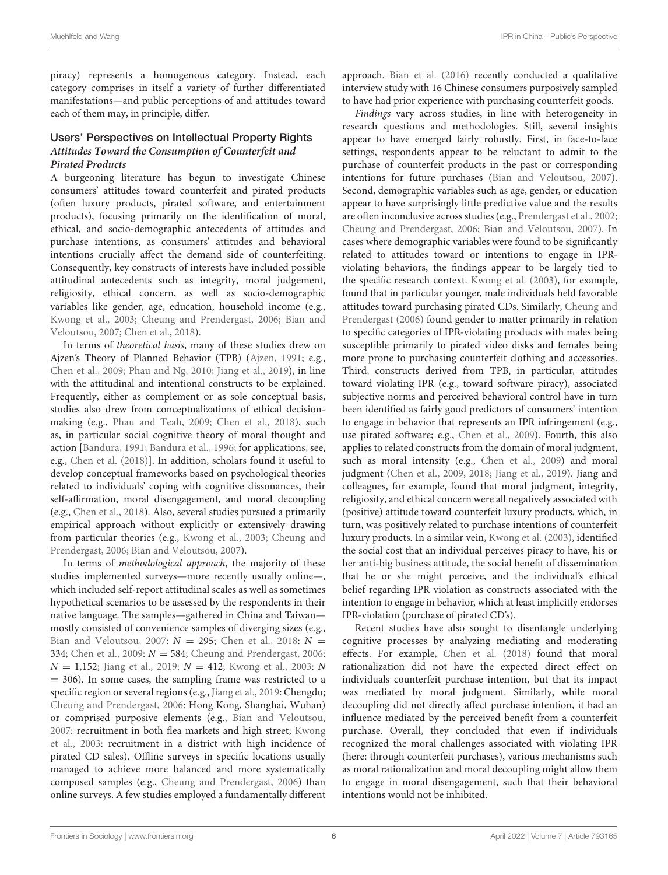piracy) represents a homogenous category. Instead, each category comprises in itself a variety of further differentiated manifestations—and public perceptions of and attitudes toward each of them may, in principle, differ.

#### Users' Perspectives on Intellectual Property Rights **Attitudes Toward the Consumption of Counterfeit and Pirated Products**

A burgeoning literature has begun to investigate Chinese consumers' attitudes toward counterfeit and pirated products (often luxury products, pirated software, and entertainment products), focusing primarily on the identification of moral, ethical, and socio-demographic antecedents of attitudes and purchase intentions, as consumers' attitudes and behavioral intentions crucially affect the demand side of counterfeiting. Consequently, key constructs of interests have included possible attitudinal antecedents such as integrity, moral judgement, religiosity, ethical concern, as well as socio-demographic variables like gender, age, education, household income (e.g., [Kwong et al., 2003;](#page-9-20) [Cheung and Prendergast, 2006;](#page-9-4) Bian and Veloutsou, [2007;](#page-9-22) [Chen et al., 2018\)](#page-9-23).

In terms of theoretical basis, many of these studies drew on Ajzen's Theory of Planned Behavior (TPB) [\(Ajzen, 1991;](#page-9-24) e.g., [Chen et al., 2009;](#page-9-25) [Phau and Ng, 2010;](#page-10-14) [Jiang et al., 2019\)](#page-9-26), in line with the attitudinal and intentional constructs to be explained. Frequently, either as complement or as sole conceptual basis, studies also drew from conceptualizations of ethical decisionmaking (e.g., [Phau and Teah, 2009;](#page-10-15) [Chen et al., 2018\)](#page-9-23), such as, in particular social cognitive theory of moral thought and action [\[Bandura, 1991;](#page-9-27) [Bandura et al., 1996;](#page-9-28) for applications, see, e.g., [Chen et al. \(2018\)](#page-9-23)]. In addition, scholars found it useful to develop conceptual frameworks based on psychological theories related to individuals' coping with cognitive dissonances, their self-affirmation, moral disengagement, and moral decoupling (e.g., [Chen et al., 2018\)](#page-9-23). Also, several studies pursued a primarily empirical approach without explicitly or extensively drawing from particular theories (e.g., [Kwong et al., 2003;](#page-9-20) Cheung and Prendergast, [2006;](#page-9-4) [Bian and Veloutsou, 2007\)](#page-9-22).

In terms of methodological approach, the majority of these studies implemented surveys—more recently usually online—, which included self-report attitudinal scales as well as sometimes hypothetical scenarios to be assessed by the respondents in their native language. The samples—gathered in China and Taiwan mostly consisted of convenience samples of diverging sizes (e.g., [Bian and Veloutsou, 2007:](#page-9-22)  $N = 295$ ; [Chen et al., 2018:](#page-9-23)  $N =$ 334; [Chen et al., 2009:](#page-9-25)  $N = 584$ ; [Cheung and Prendergast, 2006:](#page-9-4)  $N = 1,152$ ; [Jiang et al., 2019:](#page-9-26)  $N = 412$ ; [Kwong et al., 2003:](#page-9-20) N  $= 306$ ). In some cases, the sampling frame was restricted to a specific region or several regions (e.g., [Jiang et al., 2019:](#page-9-26) Chengdu; [Cheung and Prendergast, 2006:](#page-9-4) Hong Kong, Shanghai, Wuhan) or comprised purposive elements (e.g., [Bian and Veloutsou,](#page-9-22) [2007:](#page-9-22) recruitment in both flea markets and high street; Kwong et al., [2003:](#page-9-20) recruitment in a district with high incidence of pirated CD sales). Offline surveys in specific locations usually managed to achieve more balanced and more systematically composed samples (e.g., [Cheung and Prendergast, 2006\)](#page-9-4) than online surveys. A few studies employed a fundamentally different approach. [Bian et al. \(2016\)](#page-9-5) recently conducted a qualitative interview study with 16 Chinese consumers purposively sampled to have had prior experience with purchasing counterfeit goods.

Findings vary across studies, in line with heterogeneity in research questions and methodologies. Still, several insights appear to have emerged fairly robustly. First, in face-to-face settings, respondents appear to be reluctant to admit to the purchase of counterfeit products in the past or corresponding intentions for future purchases [\(Bian and Veloutsou, 2007\)](#page-9-22). Second, demographic variables such as age, gender, or education appear to have surprisingly little predictive value and the results are often inconclusive across studies (e.g., [Prendergast et al., 2002;](#page-10-16) [Cheung and Prendergast, 2006;](#page-9-4) [Bian and Veloutsou, 2007\)](#page-9-22). In cases where demographic variables were found to be significantly related to attitudes toward or intentions to engage in IPRviolating behaviors, the findings appear to be largely tied to the specific research context. [Kwong et al. \(2003\)](#page-9-20), for example, found that in particular younger, male individuals held favorable attitudes toward purchasing pirated CDs. Similarly, Cheung and Prendergast [\(2006\)](#page-9-4) found gender to matter primarily in relation to specific categories of IPR-violating products with males being susceptible primarily to pirated video disks and females being more prone to purchasing counterfeit clothing and accessories. Third, constructs derived from TPB, in particular, attitudes toward violating IPR (e.g., toward software piracy), associated subjective norms and perceived behavioral control have in turn been identified as fairly good predictors of consumers' intention to engage in behavior that represents an IPR infringement (e.g., use pirated software; e.g., [Chen et al., 2009\)](#page-9-25). Fourth, this also applies to related constructs from the domain of moral judgment, such as moral intensity (e.g., [Chen et al., 2009\)](#page-9-25) and moral judgment [\(Chen et al., 2009,](#page-9-25) [2018;](#page-9-23) [Jiang et al., 2019\)](#page-9-26). Jiang and colleagues, for example, found that moral judgment, integrity, religiosity, and ethical concern were all negatively associated with (positive) attitude toward counterfeit luxury products, which, in turn, was positively related to purchase intentions of counterfeit luxury products. In a similar vein, [Kwong et al. \(2003\)](#page-9-20), identified the social cost that an individual perceives piracy to have, his or her anti-big business attitude, the social benefit of dissemination that he or she might perceive, and the individual's ethical belief regarding IPR violation as constructs associated with the intention to engage in behavior, which at least implicitly endorses IPR-violation (purchase of pirated CD's).

Recent studies have also sought to disentangle underlying cognitive processes by analyzing mediating and moderating effects. For example, [Chen et al. \(2018\)](#page-9-23) found that moral rationalization did not have the expected direct effect on individuals counterfeit purchase intention, but that its impact was mediated by moral judgment. Similarly, while moral decoupling did not directly affect purchase intention, it had an influence mediated by the perceived benefit from a counterfeit purchase. Overall, they concluded that even if individuals recognized the moral challenges associated with violating IPR (here: through counterfeit purchases), various mechanisms such as moral rationalization and moral decoupling might allow them to engage in moral disengagement, such that their behavioral intentions would not be inhibited.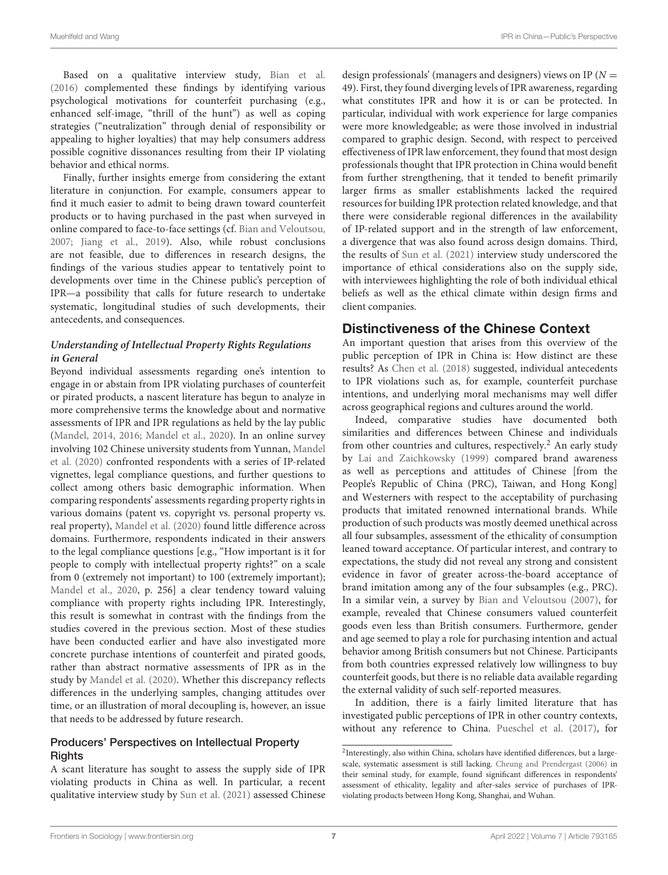Based on a qualitative interview study, [Bian et al.](#page-9-5) [\(2016\)](#page-9-5) complemented these findings by identifying various psychological motivations for counterfeit purchasing (e.g., enhanced self-image, "thrill of the hunt") as well as coping strategies ("neutralization" through denial of responsibility or appealing to higher loyalties) that may help consumers address possible cognitive dissonances resulting from their IP violating behavior and ethical norms.

Finally, further insights emerge from considering the extant literature in conjunction. For example, consumers appear to find it much easier to admit to being drawn toward counterfeit products or to having purchased in the past when surveyed in online compared to face-to-face settings (cf. [Bian and Veloutsou,](#page-9-22) [2007;](#page-9-22) [Jiang et al., 2019\)](#page-9-26). Also, while robust conclusions are not feasible, due to differences in research designs, the findings of the various studies appear to tentatively point to developments over time in the Chinese public's perception of IPR—a possibility that calls for future research to undertake systematic, longitudinal studies of such developments, their antecedents, and consequences.

#### **Understanding of Intellectual Property Rights Regulations in General**

Beyond individual assessments regarding one's intention to engage in or abstain from IPR violating purchases of counterfeit or pirated products, a nascent literature has begun to analyze in more comprehensive terms the knowledge about and normative assessments of IPR and IPR regulations as held by the lay public [\(Mandel, 2014,](#page-9-11) [2016;](#page-9-10) [Mandel et al., 2020\)](#page-9-9). In an online survey involving 102 Chinese university students from Yunnan, Mandel et al. [\(2020\)](#page-9-9) confronted respondents with a series of IP-related vignettes, legal compliance questions, and further questions to collect among others basic demographic information. When comparing respondents' assessments regarding property rights in various domains (patent vs. copyright vs. personal property vs. real property), [Mandel et al. \(2020\)](#page-9-9) found little difference across domains. Furthermore, respondents indicated in their answers to the legal compliance questions [e.g., "How important is it for people to comply with intellectual property rights?" on a scale from 0 (extremely not important) to 100 (extremely important); [Mandel et al., 2020,](#page-9-9) p. 256] a clear tendency toward valuing compliance with property rights including IPR. Interestingly, this result is somewhat in contrast with the findings from the studies covered in the previous section. Most of these studies have been conducted earlier and have also investigated more concrete purchase intentions of counterfeit and pirated goods, rather than abstract normative assessments of IPR as in the study by [Mandel et al. \(2020\)](#page-9-9). Whether this discrepancy reflects differences in the underlying samples, changing attitudes over time, or an illustration of moral decoupling is, however, an issue that needs to be addressed by future research.

#### Producers' Perspectives on Intellectual Property **Rights**

A scant literature has sought to assess the supply side of IPR violating products in China as well. In particular, a recent qualitative interview study by [Sun et al. \(2021\)](#page-10-11) assessed Chinese design professionals' (managers and designers) views on IP ( $N =$ 49). First, they found diverging levels of IPR awareness, regarding what constitutes IPR and how it is or can be protected. In particular, individual with work experience for large companies were more knowledgeable; as were those involved in industrial compared to graphic design. Second, with respect to perceived effectiveness of IPR law enforcement, they found that most design professionals thought that IPR protection in China would benefit from further strengthening, that it tended to benefit primarily larger firms as smaller establishments lacked the required resources for building IPR protection related knowledge, and that there were considerable regional differences in the availability of IP-related support and in the strength of law enforcement, a divergence that was also found across design domains. Third, the results of [Sun et al. \(2021\)](#page-10-11) interview study underscored the importance of ethical considerations also on the supply side, with interviewees highlighting the role of both individual ethical beliefs as well as the ethical climate within design firms and client companies.

## Distinctiveness of the Chinese Context

An important question that arises from this overview of the public perception of IPR in China is: How distinct are these results? As [Chen et al. \(2018\)](#page-9-23) suggested, individual antecedents to IPR violations such as, for example, counterfeit purchase intentions, and underlying moral mechanisms may well differ across geographical regions and cultures around the world.

Indeed, comparative studies have documented both similarities and differences between Chinese and individuals from other countries and cultures, respectively.<sup>[2](#page-6-0)</sup> An early study by [Lai and Zaichkowsky \(1999\)](#page-9-29) compared brand awareness as well as perceptions and attitudes of Chinese [from the People's Republic of China (PRC), Taiwan, and Hong Kong] and Westerners with respect to the acceptability of purchasing products that imitated renowned international brands. While production of such products was mostly deemed unethical across all four subsamples, assessment of the ethicality of consumption leaned toward acceptance. Of particular interest, and contrary to expectations, the study did not reveal any strong and consistent evidence in favor of greater across-the-board acceptance of brand imitation among any of the four subsamples (e.g., PRC). In a similar vein, a survey by [Bian and Veloutsou \(2007\)](#page-9-22), for example, revealed that Chinese consumers valued counterfeit goods even less than British consumers. Furthermore, gender and age seemed to play a role for purchasing intention and actual behavior among British consumers but not Chinese. Participants from both countries expressed relatively low willingness to buy counterfeit goods, but there is no reliable data available regarding the external validity of such self-reported measures.

In addition, there is a fairly limited literature that has investigated public perceptions of IPR in other country contexts, without any reference to China. [Pueschel et al. \(2017\)](#page-10-17), for

<span id="page-6-0"></span><sup>&</sup>lt;sup>2</sup>Interestingly, also within China, scholars have identified differences, but a largescale, systematic assessment is still lacking. [Cheung and Prendergast \(2006\)](#page-9-4) in their seminal study, for example, found significant differences in respondents' assessment of ethicality, legality and after-sales service of purchases of IPRviolating products between Hong Kong, Shanghai, and Wuhan.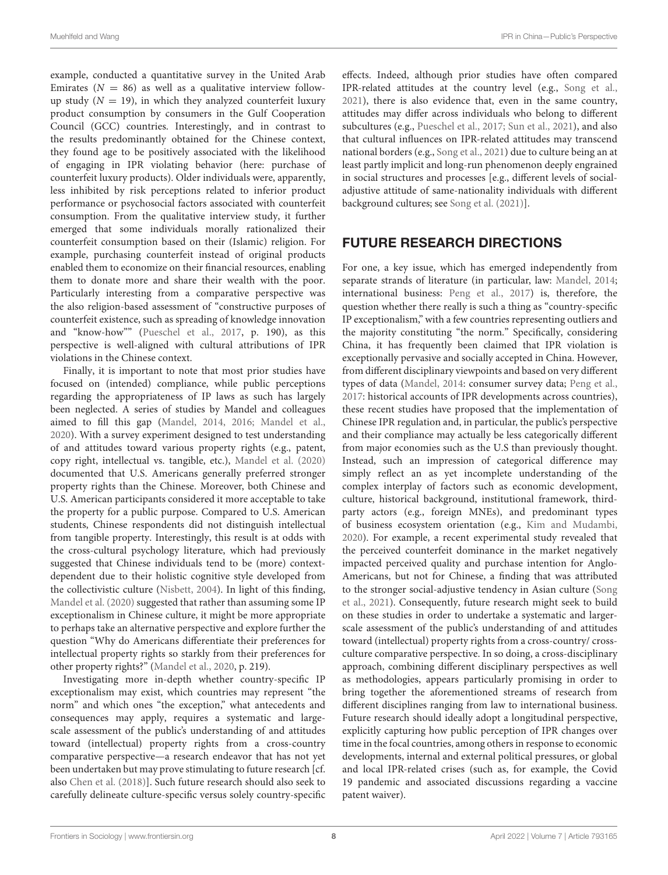example, conducted a quantitative survey in the United Arab Emirates ( $N = 86$ ) as well as a qualitative interview followup study ( $N = 19$ ), in which they analyzed counterfeit luxury product consumption by consumers in the Gulf Cooperation Council (GCC) countries. Interestingly, and in contrast to the results predominantly obtained for the Chinese context, they found age to be positively associated with the likelihood of engaging in IPR violating behavior (here: purchase of counterfeit luxury products). Older individuals were, apparently, less inhibited by risk perceptions related to inferior product performance or psychosocial factors associated with counterfeit consumption. From the qualitative interview study, it further emerged that some individuals morally rationalized their counterfeit consumption based on their (Islamic) religion. For example, purchasing counterfeit instead of original products enabled them to economize on their financial resources, enabling them to donate more and share their wealth with the poor. Particularly interesting from a comparative perspective was the also religion-based assessment of "constructive purposes of counterfeit existence, such as spreading of knowledge innovation and "know-how"" [\(Pueschel et al., 2017,](#page-10-17) p. 190), as this perspective is well-aligned with cultural attributions of IPR violations in the Chinese context.

Finally, it is important to note that most prior studies have focused on (intended) compliance, while public perceptions regarding the appropriateness of IP laws as such has largely been neglected. A series of studies by Mandel and colleagues aimed to fill this gap [\(Mandel, 2014,](#page-9-11) [2016;](#page-9-10) [Mandel et al.,](#page-9-9) [2020\)](#page-9-9). With a survey experiment designed to test understanding of and attitudes toward various property rights (e.g., patent, copy right, intellectual vs. tangible, etc.), [Mandel et al. \(2020\)](#page-9-9) documented that U.S. Americans generally preferred stronger property rights than the Chinese. Moreover, both Chinese and U.S. American participants considered it more acceptable to take the property for a public purpose. Compared to U.S. American students, Chinese respondents did not distinguish intellectual from tangible property. Interestingly, this result is at odds with the cross-cultural psychology literature, which had previously suggested that Chinese individuals tend to be (more) contextdependent due to their holistic cognitive style developed from the collectivistic culture [\(Nisbett, 2004\)](#page-10-18). In light of this finding, [Mandel et al. \(2020\)](#page-9-9) suggested that rather than assuming some IP exceptionalism in Chinese culture, it might be more appropriate to perhaps take an alternative perspective and explore further the question "Why do Americans differentiate their preferences for intellectual property rights so starkly from their preferences for other property rights?" [\(Mandel et al., 2020,](#page-9-9) p. 219).

Investigating more in-depth whether country-specific IP exceptionalism may exist, which countries may represent "the norm" and which ones "the exception," what antecedents and consequences may apply, requires a systematic and largescale assessment of the public's understanding of and attitudes toward (intellectual) property rights from a cross-country comparative perspective—a research endeavor that has not yet been undertaken but may prove stimulating to future research [cf. also [Chen et al. \(2018\)](#page-9-23)]. Such future research should also seek to carefully delineate culture-specific versus solely country-specific effects. Indeed, although prior studies have often compared IPR-related attitudes at the country level (e.g., [Song et al.,](#page-10-19) [2021\)](#page-10-19), there is also evidence that, even in the same country, attitudes may differ across individuals who belong to different subcultures (e.g., [Pueschel et al., 2017;](#page-10-17) [Sun et al., 2021\)](#page-10-11), and also that cultural influences on IPR-related attitudes may transcend national borders (e.g., [Song et al., 2021\)](#page-10-19) due to culture being an at least partly implicit and long-run phenomenon deeply engrained in social structures and processes [e.g., different levels of socialadjustive attitude of same-nationality individuals with different background cultures; see [Song et al. \(2021\)](#page-10-19)].

# FUTURE RESEARCH DIRECTIONS

For one, a key issue, which has emerged independently from separate strands of literature (in particular, law: [Mandel, 2014;](#page-9-11) international business: [Peng et al., 2017\)](#page-10-7) is, therefore, the question whether there really is such a thing as "country-specific IP exceptionalism," with a few countries representing outliers and the majority constituting "the norm." Specifically, considering China, it has frequently been claimed that IPR violation is exceptionally pervasive and socially accepted in China. However, from different disciplinary viewpoints and based on very different types of data [\(Mandel, 2014:](#page-9-11) consumer survey data; [Peng et al.,](#page-10-7) [2017:](#page-10-7) historical accounts of IPR developments across countries), these recent studies have proposed that the implementation of Chinese IPR regulation and, in particular, the public's perspective and their compliance may actually be less categorically different from major economies such as the U.S than previously thought. Instead, such an impression of categorical difference may simply reflect an as yet incomplete understanding of the complex interplay of factors such as economic development, culture, historical background, institutional framework, thirdparty actors (e.g., foreign MNEs), and predominant types of business ecosystem orientation (e.g., [Kim and Mudambi,](#page-9-15) [2020\)](#page-9-15). For example, a recent experimental study revealed that the perceived counterfeit dominance in the market negatively impacted perceived quality and purchase intention for Anglo-Americans, but not for Chinese, a finding that was attributed to the stronger social-adjustive tendency in Asian culture (Song et al., [2021\)](#page-10-19). Consequently, future research might seek to build on these studies in order to undertake a systematic and largerscale assessment of the public's understanding of and attitudes toward (intellectual) property rights from a cross-country/ crossculture comparative perspective. In so doing, a cross-disciplinary approach, combining different disciplinary perspectives as well as methodologies, appears particularly promising in order to bring together the aforementioned streams of research from different disciplines ranging from law to international business. Future research should ideally adopt a longitudinal perspective, explicitly capturing how public perception of IPR changes over time in the focal countries, among others in response to economic developments, internal and external political pressures, or global and local IPR-related crises (such as, for example, the Covid 19 pandemic and associated discussions regarding a vaccine patent waiver).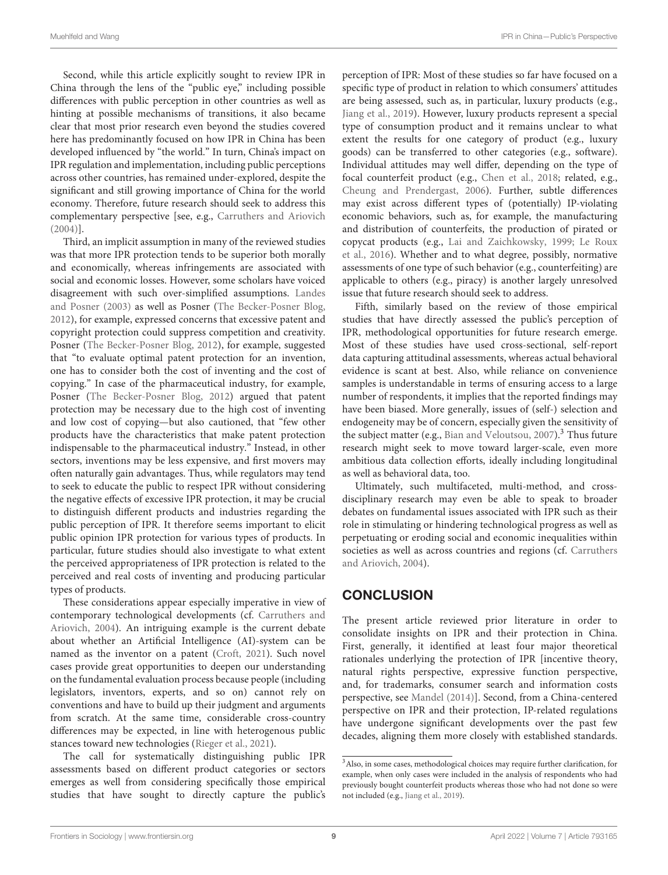Second, while this article explicitly sought to review IPR in China through the lens of the "public eye," including possible differences with public perception in other countries as well as hinting at possible mechanisms of transitions, it also became clear that most prior research even beyond the studies covered here has predominantly focused on how IPR in China has been developed influenced by "the world." In turn, China's impact on IPR regulation and implementation, including public perceptions across other countries, has remained under-explored, despite the significant and still growing importance of China for the world economy. Therefore, future research should seek to address this complementary perspective [see, e.g., [Carruthers and Ariovich](#page-9-0) [\(2004\)](#page-9-0)].

Third, an implicit assumption in many of the reviewed studies was that more IPR protection tends to be superior both morally and economically, whereas infringements are associated with social and economic losses. However, some scholars have voiced disagreement with such over-simplified assumptions. Landes and Posner [\(2003\)](#page-9-12) as well as Posner [\(The Becker-Posner Blog,](#page-10-20) [2012\)](#page-10-20), for example, expressed concerns that excessive patent and copyright protection could suppress competition and creativity. Posner [\(The Becker-Posner Blog, 2012\)](#page-10-20), for example, suggested that "to evaluate optimal patent protection for an invention, one has to consider both the cost of inventing and the cost of copying." In case of the pharmaceutical industry, for example, Posner [\(The Becker-Posner Blog, 2012\)](#page-10-20) argued that patent protection may be necessary due to the high cost of inventing and low cost of copying—but also cautioned, that "few other products have the characteristics that make patent protection indispensable to the pharmaceutical industry." Instead, in other sectors, inventions may be less expensive, and first movers may often naturally gain advantages. Thus, while regulators may tend to seek to educate the public to respect IPR without considering the negative effects of excessive IPR protection, it may be crucial to distinguish different products and industries regarding the public perception of IPR. It therefore seems important to elicit public opinion IPR protection for various types of products. In particular, future studies should also investigate to what extent the perceived appropriateness of IPR protection is related to the perceived and real costs of inventing and producing particular types of products.

These considerations appear especially imperative in view of contemporary technological developments (cf. Carruthers and Ariovich, [2004\)](#page-9-0). An intriguing example is the current debate about whether an Artificial Intelligence (AI)-system can be named as the inventor on a patent [\(Croft, 2021\)](#page-9-30). Such novel cases provide great opportunities to deepen our understanding on the fundamental evaluation process because people (including legislators, inventors, experts, and so on) cannot rely on conventions and have to build up their judgment and arguments from scratch. At the same time, considerable cross-country differences may be expected, in line with heterogenous public stances toward new technologies [\(Rieger et al., 2021\)](#page-10-21).

The call for systematically distinguishing public IPR assessments based on different product categories or sectors emerges as well from considering specifically those empirical studies that have sought to directly capture the public's perception of IPR: Most of these studies so far have focused on a specific type of product in relation to which consumers' attitudes are being assessed, such as, in particular, luxury products (e.g., [Jiang et al., 2019\)](#page-9-26). However, luxury products represent a special type of consumption product and it remains unclear to what extent the results for one category of product (e.g., luxury goods) can be transferred to other categories (e.g., software). Individual attitudes may well differ, depending on the type of focal counterfeit product (e.g., [Chen et al., 2018;](#page-9-23) related, e.g., [Cheung and Prendergast, 2006\)](#page-9-4). Further, subtle differences may exist across different types of (potentially) IP-violating economic behaviors, such as, for example, the manufacturing and distribution of counterfeits, the production of pirated or copycat products (e.g., [Lai and Zaichkowsky, 1999;](#page-9-29) Le Roux et al., [2016\)](#page-9-19). Whether and to what degree, possibly, normative assessments of one type of such behavior (e.g., counterfeiting) are applicable to others (e.g., piracy) is another largely unresolved issue that future research should seek to address.

Fifth, similarly based on the review of those empirical studies that have directly assessed the public's perception of IPR, methodological opportunities for future research emerge. Most of these studies have used cross-sectional, self-report data capturing attitudinal assessments, whereas actual behavioral evidence is scant at best. Also, while reliance on convenience samples is understandable in terms of ensuring access to a large number of respondents, it implies that the reported findings may have been biased. More generally, issues of (self-) selection and endogeneity may be of concern, especially given the sensitivity of the subject matter (e.g., Bian and Veloutsou,  $2007$ ).<sup>[3](#page-8-0)</sup> Thus future research might seek to move toward larger-scale, even more ambitious data collection efforts, ideally including longitudinal as well as behavioral data, too.

Ultimately, such multifaceted, multi-method, and crossdisciplinary research may even be able to speak to broader debates on fundamental issues associated with IPR such as their role in stimulating or hindering technological progress as well as perpetuating or eroding social and economic inequalities within societies as well as across countries and regions (cf. Carruthers and Ariovich, [2004\)](#page-9-0).

# **CONCLUSION**

The present article reviewed prior literature in order to consolidate insights on IPR and their protection in China. First, generally, it identified at least four major theoretical rationales underlying the protection of IPR [incentive theory, natural rights perspective, expressive function perspective, and, for trademarks, consumer search and information costs perspective, see [Mandel \(2014\)](#page-9-11)]. Second, from a China-centered perspective on IPR and their protection, IP-related regulations have undergone significant developments over the past few decades, aligning them more closely with established standards.

<span id="page-8-0"></span><sup>3</sup>Also, in some cases, methodological choices may require further clarification, for example, when only cases were included in the analysis of respondents who had previously bought counterfeit products whereas those who had not done so were not included (e.g., [Jiang et al., 2019\)](#page-9-26).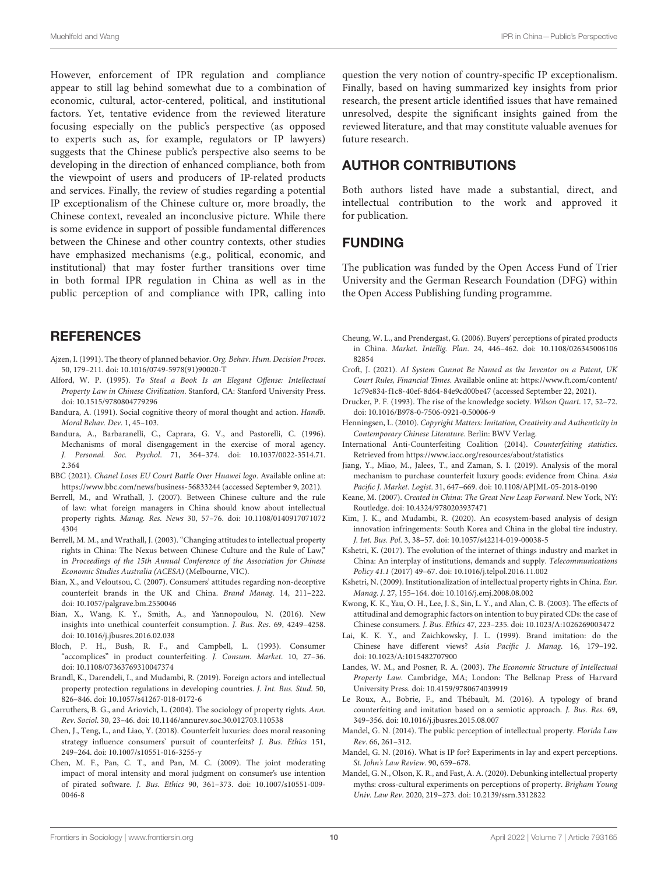However, enforcement of IPR regulation and compliance appear to still lag behind somewhat due to a combination of economic, cultural, actor-centered, political, and institutional factors. Yet, tentative evidence from the reviewed literature focusing especially on the public's perspective (as opposed to experts such as, for example, regulators or IP lawyers) suggests that the Chinese public's perspective also seems to be developing in the direction of enhanced compliance, both from the viewpoint of users and producers of IP-related products and services. Finally, the review of studies regarding a potential IP exceptionalism of the Chinese culture or, more broadly, the Chinese context, revealed an inconclusive picture. While there is some evidence in support of possible fundamental differences between the Chinese and other country contexts, other studies have emphasized mechanisms (e.g., political, economic, and institutional) that may foster further transitions over time in both formal IPR regulation in China as well as in the public perception of and compliance with IPR, calling into

### **REFERENCES**

- <span id="page-9-24"></span>Ajzen, I. (1991). The theory of planned behavior. Org. Behav. Hum. Decision Proces. 50, 179–211. doi: [10.1016/0749-5978\(91\)90020-T](https://doi.org/10.1016/0749-5978(91)90020-T)
- <span id="page-9-7"></span>Alford, W. P. (1995). To Steal a Book Is an Elegant Offense: Intellectual Property Law in Chinese Civilization. Stanford, CA: Stanford University Press. doi: [10.1515/9780804779296](https://doi.org/10.1515/9780804779296)
- <span id="page-9-27"></span>Bandura, A. (1991). Social cognitive theory of moral thought and action. Handb. Moral Behav. Dev. 1, 45–103.
- <span id="page-9-28"></span>Bandura, A., Barbaranelli, C., Caprara, G. V., and Pastorelli, C. (1996). Mechanisms of moral disengagement in the exercise of moral agency. J. Personal. Soc. Psychol[. 71, 364–374. doi: 10.1037/0022-3514.71.](https://doi.org/10.1037/0022-3514.71.2.364) 2.364
- <span id="page-9-6"></span>BBC (2021). Chanel Loses EU Court Battle Over Huawei logo. Available online at: <https://www.bbc.com/news/business-56833244> (accessed September 9, 2021).
- <span id="page-9-8"></span>Berrell, M., and Wrathall, J. (2007). Between Chinese culture and the rule of law: what foreign managers in China should know about intellectual property rights. Manag. Res. News [30, 57–76. doi: 10.1108/0140917071072](https://doi.org/10.1108/01409170710724304) 4304
- <span id="page-9-13"></span>Berrell, M. M., and Wrathall, J. (2003). "Changing attitudes to intellectual property rights in China: The Nexus between Chinese Culture and the Rule of Law," in Proceedings of the 15th Annual Conference of the Association for Chinese Economic Studies Australia (ACESA) (Melbourne, VIC).
- <span id="page-9-22"></span>Bian, X., and Veloutsou, C. (2007). Consumers' attitudes regarding non-deceptive counterfeit brands in the UK and China. Brand Manag. 14, 211–222. doi: [10.1057/palgrave.bm.2550046](https://doi.org/10.1057/palgrave.bm.2550046)
- <span id="page-9-5"></span>Bian, X., Wang, K. Y., Smith, A., and Yannopoulou, N. (2016). New insights into unethical counterfeit consumption. J. Bus. Res. 69, 4249–4258. doi: [10.1016/j.jbusres.2016.02.038](https://doi.org/10.1016/j.jbusres.2016.02.038)
- <span id="page-9-21"></span>Bloch, P. H., Bush, R. F., and Campbell, L. (1993). Consumer "accomplices" in product counterfeiting. J. Consum. Market. 10, 27–36. doi: [10.1108/07363769310047374](https://doi.org/10.1108/07363769310047374)
- <span id="page-9-18"></span>Brandl, K., Darendeli, I., and Mudambi, R. (2019). Foreign actors and intellectual property protection regulations in developing countries. J. Int. Bus. Stud. 50, 826–846. doi: [10.1057/s41267-018-0172-6](https://doi.org/10.1057/s41267-018-0172-6)
- <span id="page-9-0"></span>Carruthers, B. G., and Ariovich, L. (2004). The sociology of property rights. Ann. Rev. Sociol. 30, 23–46. doi: [10.1146/annurev.soc.30.012703.110538](https://doi.org/10.1146/annurev.soc.30.012703.110538)
- <span id="page-9-23"></span>Chen, J., Teng, L., and Liao, Y. (2018). Counterfeit luxuries: does moral reasoning strategy influence consumers' pursuit of counterfeits? J. Bus. Ethics 151, 249–264. doi: [10.1007/s10551-016-3255-y](https://doi.org/10.1007/s10551-016-3255-y)
- <span id="page-9-25"></span>Chen, M. F., Pan, C. T., and Pan, M. C. (2009). The joint moderating impact of moral intensity and moral judgment on consumer's use intention of pirated software. J. Bus. Ethics [90, 361–373. doi: 10.1007/s10551-009-](https://doi.org/10.1007/s10551-009-0046-8) 0046-8

question the very notion of country-specific IP exceptionalism. Finally, based on having summarized key insights from prior research, the present article identified issues that have remained unresolved, despite the significant insights gained from the reviewed literature, and that may constitute valuable avenues for future research.

# AUTHOR CONTRIBUTIONS

Both authors listed have made a substantial, direct, and intellectual contribution to the work and approved it for publication.

### FUNDING

The publication was funded by the Open Access Fund of Trier University and the German Research Foundation (DFG) within the Open Access Publishing funding programme.

- <span id="page-9-4"></span>Cheung, W. L., and Prendergast, G. (2006). Buyers' perceptions of pirated products in China. Market. Intellig. Plan[. 24, 446–462. doi: 10.1108/026345006106](https://doi.org/10.1108/02634500610682854) 82854
- <span id="page-9-30"></span>Croft, J. (2021). AI System Cannot Be Named as the Inventor on a Patent, UK Court Rules, Financial Times. Available online at: [https://www.ft.com/content/](https://www.ft.com/content/1c79e834-f1c8-40ef-8d64-84e9cd00be47) [1c79e834-f1c8-40ef-8d64-84e9cd00be47](https://www.ft.com/content/1c79e834-f1c8-40ef-8d64-84e9cd00be47) (accessed September 22, 2021).
- <span id="page-9-1"></span>Drucker, P. F. (1993). The rise of the knowledge society. Wilson Quart. 17, 52–72. doi: [10.1016/B978-0-7506-0921-0.50006-9](https://doi.org/10.1016/B978-0-7506-0921-0.50006-9)
- <span id="page-9-2"></span>Henningsen, L. (2010). Copyright Matters: Imitation, Creativity and Authenticity in Contemporary Chinese Literature. Berlin: BWV Verlag.
- <span id="page-9-3"></span>International Anti-Counterfeiting Coalition (2014). Counterfeiting statistics. Retrieved from<https://www.iacc.org/resources/about/statistics>
- <span id="page-9-26"></span>Jiang, Y., Miao, M., Jalees, T., and Zaman, S. I. (2019). Analysis of the moral mechanism to purchase counterfeit luxury goods: evidence from China. Asia Pacific J. Market. Logist. 31, 647–669. doi: [10.1108/APJML-05-2018-0190](https://doi.org/10.1108/APJML-05-2018-0190)
- <span id="page-9-17"></span>Keane, M. (2007). Created in China: The Great New Leap Forward. New York, NY: Routledge. doi: [10.4324/9780203937471](https://doi.org/10.4324/9780203937471)
- <span id="page-9-15"></span>Kim, J. K., and Mudambi, R. (2020). An ecosystem-based analysis of design innovation infringements: South Korea and China in the global tire industry. J. Int. Bus. Pol. 3, 38–57. doi: [10.1057/s42214-019-00038-5](https://doi.org/10.1057/s42214-019-00038-5)
- <span id="page-9-16"></span>Kshetri, K. (2017). The evolution of the internet of things industry and market in China: An interplay of institutions, demands and supply. Telecommunications Policy 41.1 (2017) 49–67. doi: [10.1016/j.telpol.2016.11.002](https://doi.org/10.1016/j.telpol.2016.11.002)
- <span id="page-9-14"></span>Kshetri, N. (2009). Institutionalization of intellectual property rights in China. Eur. Manag. J. 27, 155–164. doi: [10.1016/j.emj.2008.08.002](https://doi.org/10.1016/j.emj.2008.08.002)
- <span id="page-9-20"></span>Kwong, K. K., Yau, O. H., Lee, J. S., Sin, L. Y., and Alan, C. B. (2003). The effects of attitudinal and demographic factors on intention to buy pirated CDs: the case of Chinese consumers. J. Bus. Ethics 47, 223–235. doi: [10.1023/A:1026269003472](https://doi.org/10.1023/A:1026269003472)
- <span id="page-9-29"></span>Lai, K. K. Y., and Zaichkowsky, J. L. (1999). Brand imitation: do the Chinese have different views? Asia Pacific J. Manag. 16, 179–192. doi: [10.1023/A:1015482707900](https://doi.org/10.1023/A:1015482707900)
- <span id="page-9-12"></span>Landes, W. M., and Posner, R. A. (2003). The Economic Structure of Intellectual Property Law. Cambridge, MA; London: The Belknap Press of Harvard University Press. doi: [10.4159/9780674039919](https://doi.org/10.4159/9780674039919)
- <span id="page-9-19"></span>Le Roux, A., Bobrie, F., and Thébault, M. (2016). A typology of brand counterfeiting and imitation based on a semiotic approach. J. Bus. Res. 69, 349–356. doi: [10.1016/j.jbusres.2015.08.007](https://doi.org/10.1016/j.jbusres.2015.08.007)
- <span id="page-9-11"></span>Mandel, G. N. (2014). The public perception of intellectual property. Florida Law Rev. 66, 261–312.
- <span id="page-9-10"></span>Mandel, G. N. (2016). What is IP for? Experiments in lay and expert perceptions. St. John's Law Review. 90, 659–678.
- <span id="page-9-9"></span>Mandel, G. N., Olson, K. R., and Fast, A. A. (2020). Debunking intellectual property myths: cross-cultural experiments on perceptions of property. Brigham Young Univ. Law Rev. 2020, 219–273. doi: [10.2139/ssrn.3312822](https://doi.org/10.2139/ssrn.3312822)